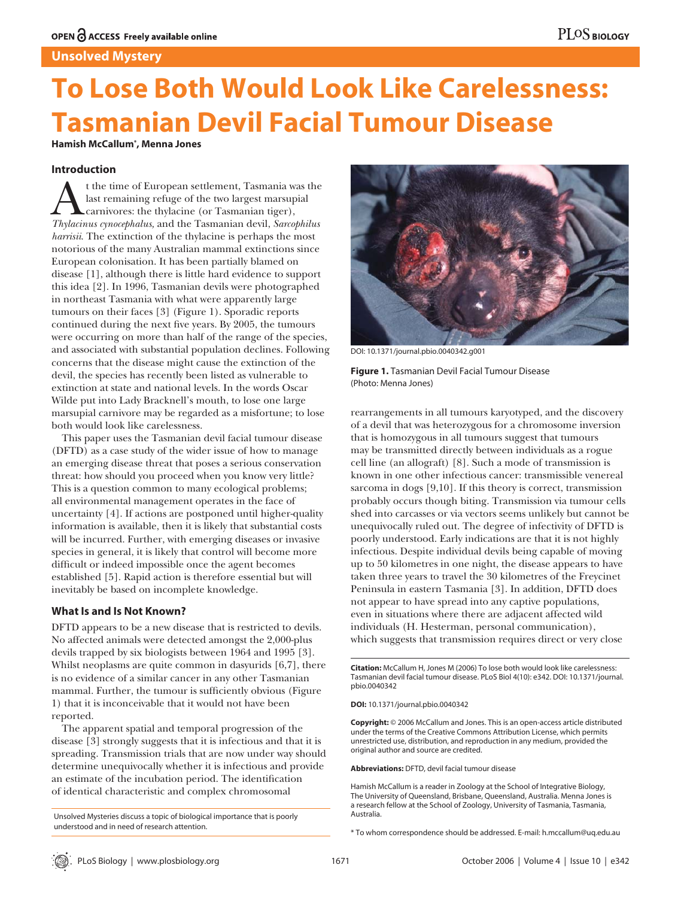## **Unsolved Mystery**

# **To Lose Both Would Look Like Carelessness: Tasmanian Devil Facial Tumour Disease**

**Hamish McCallum\* , Menna Jones**

## **Introduction**

t the time of European settlement, Tasmania was the<br>last remaining refuge of the two largest marsupial<br>carnivores: the thylacine (or Tasmanian tiger),<br>Thylacinus cynocephalus and the Tasmanian devil Sarcophilus last remaining refuge of the two largest marsupial carnivores: the thylacine (or Tasmanian tiger), *Thylacinus cynocephalus,* and the Tasmanian devil, *Sarcophilus harrisii*. The extinction of the thylacine is perhaps the most notorious of the many Australian mammal extinctions since European colonisation. It has been partially blamed on disease [1], although there is little hard evidence to support this idea [2]. In 1996, Tasmanian devils were photographed in northeast Tasmania with what were apparently large tumours on their faces [3] (Figure 1). Sporadic reports continued during the next five years. By 2005, the tumours were occurring on more than half of the range of the species, and associated with substantial population declines. Following concerns that the disease might cause the extinction of the devil, the species has recently been listed as vulnerable to extinction at state and national levels. In the words Oscar Wilde put into Lady Bracknell's mouth, to lose one large marsupial carnivore may be regarded as a misfortune; to lose both would look like carelessness.

This paper uses the Tasmanian devil facial tumour disease (DFTD) as a case study of the wider issue of how to manage an emerging disease threat that poses a serious conservation threat: how should you proceed when you know very little? This is a question common to many ecological problems; all environmental management operates in the face of uncertainty [4]. If actions are postponed until higher-quality information is available, then it is likely that substantial costs will be incurred. Further, with emerging diseases or invasive species in general, it is likely that control will become more difficult or indeed impossible once the agent becomes established [5]. Rapid action is therefore essential but will inevitably be based on incomplete knowledge.

## **What Is and Is Not Known?**

DFTD appears to be a new disease that is restricted to devils. No affected animals were detected amongst the 2,000-plus devils trapped by six biologists between 1964 and 1995 [3]. Whilst neoplasms are quite common in dasyurids [6,7], there is no evidence of a similar cancer in any other Tasmanian mammal. Further, the tumour is sufficiently obvious (Figure 1) that it is inconceivable that it would not have been reported.

The apparent spatial and temporal progression of the disease [3] strongly suggests that it is infectious and that it is spreading. Transmission trials that are now under way should determine unequivocally whether it is infectious and provide an estimate of the incubation period. The identification of identical characteristic and complex chromosomal

Unsolved Mysteries discuss a topic of biological importance that is poorly understood and in need of research attention.



DOI: 10.1371/journal.pbio.0040342.g001

**Figure 1.** Tasmanian Devil Facial Tumour Disease (Photo: Menna Jones)

rearrangements in all tumours karyotyped, and the discovery of a devil that was heterozygous for a chromosome inversion that is homozygous in all tumours suggest that tumours may be transmitted directly between individuals as a rogue cell line (an allograft) [8]. Such a mode of transmission is known in one other infectious cancer: transmissible venereal sarcoma in dogs [9,10]. If this theory is correct, transmission probably occurs though biting. Transmission via tumour cells shed into carcasses or via vectors seems unlikely but cannot be unequivocally ruled out. The degree of infectivity of DFTD is poorly understood. Early indications are that it is not highly infectious. Despite individual devils being capable of moving up to 50 kilometres in one night, the disease appears to have taken three years to travel the 30 kilometres of the Freycinet Peninsula in eastern Tasmania [3]. In addition, DFTD does not appear to have spread into any captive populations, even in situations where there are adjacent affected wild individuals (H. Hesterman, personal communication), which suggests that transmission requires direct or very close

**Citation:** McCallum H, Jones M (2006) To lose both would look like carelessness: Tasmanian devil facial tumour disease. PLoS Biol 4(10): e342. DOI: 10.1371/journal. pbio.0040342

#### **DOI:** 10.1371/journal.pbio.0040342

**Copyright:** © 2006 McCallum and Jones. This is an open-access article distributed under the terms of the Creative Commons Attribution License, which permits unrestricted use, distribution, and reproduction in any medium, provided the original author and source are credited.

**Abbreviations:** DFTD, devil facial tumour disease

Hamish McCallum is a reader in Zoology at the School of Integrative Biology, The University of Queensland, Brisbane, Queensland, Australia. Menna Jones is a research fellow at the School of Zoology, University of Tasmania, Tasmania, Australia.

\* To whom correspondence should be addressed. E-mail: h.mccallum@uq.edu.au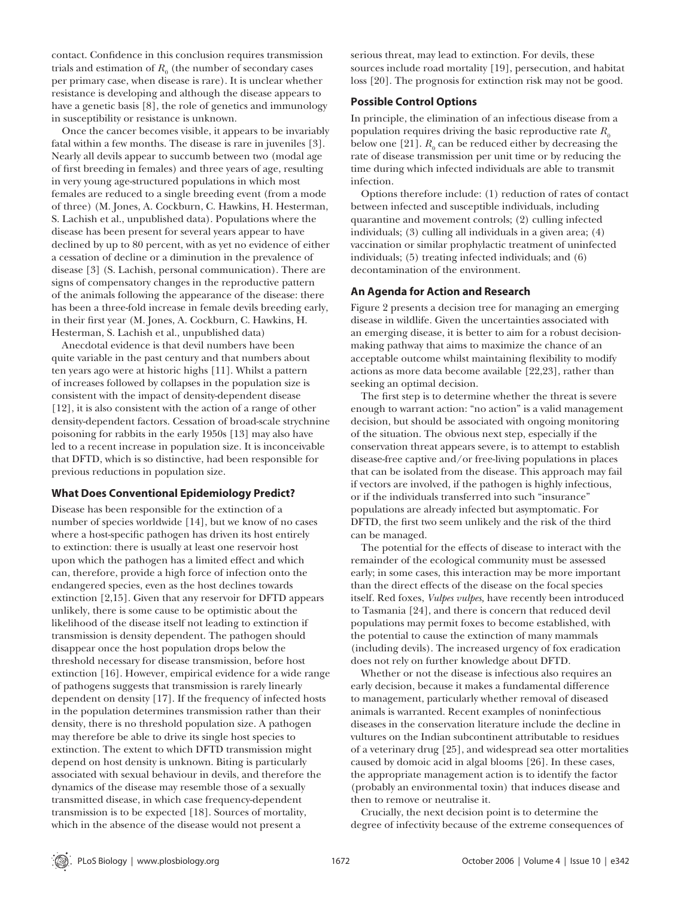contact. Confidence in this conclusion requires transmission trials and estimation of  $R_{\rm 0}$  (the number of secondary cases per primary case, when disease is rare). It is unclear whether resistance is developing and although the disease appears to have a genetic basis [8], the role of genetics and immunology in susceptibility or resistance is unknown.

Once the cancer becomes visible, it appears to be invariably fatal within a few months. The disease is rare in juveniles [3]. Nearly all devils appear to succumb between two (modal age of first breeding in females) and three years of age, resulting in very young age-structured populations in which most females are reduced to a single breeding event (from a mode of three) (M. Jones, A. Cockburn, C. Hawkins, H. Hesterman, S. Lachish et al., unpublished data). Populations where the disease has been present for several years appear to have declined by up to 80 percent, with as yet no evidence of either a cessation of decline or a diminution in the prevalence of disease [3] (S. Lachish, personal communication). There are signs of compensatory changes in the reproductive pattern of the animals following the appearance of the disease: there has been a three-fold increase in female devils breeding early, in their first year (M. Jones, A. Cockburn, C. Hawkins, H. Hesterman, S. Lachish et al., unpublished data)

Anecdotal evidence is that devil numbers have been quite variable in the past century and that numbers about ten years ago were at historic highs [11]. Whilst a pattern of increases followed by collapses in the population size is consistent with the impact of density-dependent disease [12], it is also consistent with the action of a range of other density-dependent factors. Cessation of broad-scale strychnine poisoning for rabbits in the early 1950s [13] may also have led to a recent increase in population size. It is inconceivable that DFTD, which is so distinctive, had been responsible for previous reductions in population size.

#### **What Does Conventional Epidemiology Predict?**

Disease has been responsible for the extinction of a number of species worldwide [14], but we know of no cases where a host-specific pathogen has driven its host entirely to extinction: there is usually at least one reservoir host upon which the pathogen has a limited effect and which can, therefore, provide a high force of infection onto the endangered species, even as the host declines towards extinction [2,15]. Given that any reservoir for DFTD appears unlikely, there is some cause to be optimistic about the likelihood of the disease itself not leading to extinction if transmission is density dependent. The pathogen should disappear once the host population drops below the threshold necessary for disease transmission, before host extinction [16]. However, empirical evidence for a wide range of pathogens suggests that transmission is rarely linearly dependent on density [17]. If the frequency of infected hosts in the population determines transmission rather than their density, there is no threshold population size. A pathogen may therefore be able to drive its single host species to extinction. The extent to which DFTD transmission might depend on host density is unknown. Biting is particularly associated with sexual behaviour in devils, and therefore the dynamics of the disease may resemble those of a sexually transmitted disease, in which case frequency-dependent transmission is to be expected [18]. Sources of mortality, which in the absence of the disease would not present a

serious threat, may lead to extinction. For devils, these sources include road mortality [19], persecution, and habitat loss [20]. The prognosis for extinction risk may not be good.

### **Possible Control Options**

In principle, the elimination of an infectious disease from a population requires driving the basic reproductive rate  $R_0$ below one [21].  $R_0$  can be reduced either by decreasing the rate of disease transmission per unit time or by reducing the time during which infected individuals are able to transmit infection.

Options therefore include: (1) reduction of rates of contact between infected and susceptible individuals, including quarantine and movement controls; (2) culling infected individuals; (3) culling all individuals in a given area; (4) vaccination or similar prophylactic treatment of uninfected individuals; (5) treating infected individuals; and (6) decontamination of the environment.

### **An Agenda for Action and Research**

Figure 2 presents a decision tree for managing an emerging disease in wildlife. Given the uncertainties associated with an emerging disease, it is better to aim for a robust decisionmaking pathway that aims to maximize the chance of an acceptable outcome whilst maintaining flexibility to modify actions as more data become available [22,23], rather than seeking an optimal decision.

The first step is to determine whether the threat is severe enough to warrant action: "no action" is a valid management decision, but should be associated with ongoing monitoring of the situation. The obvious next step, especially if the conservation threat appears severe, is to attempt to establish disease-free captive and/or free-living populations in places that can be isolated from the disease. This approach may fail if vectors are involved, if the pathogen is highly infectious, or if the individuals transferred into such "insurance" populations are already infected but asymptomatic. For DFTD, the first two seem unlikely and the risk of the third can be managed.

The potential for the effects of disease to interact with the remainder of the ecological community must be assessed early; in some cases, this interaction may be more important than the direct effects of the disease on the focal species itself. Red foxes, *Vulpes vulpes,* have recently been introduced to Tasmania [24], and there is concern that reduced devil populations may permit foxes to become established, with the potential to cause the extinction of many mammals (including devils). The increased urgency of fox eradication does not rely on further knowledge about DFTD.

Whether or not the disease is infectious also requires an early decision, because it makes a fundamental difference to management, particularly whether removal of diseased animals is warranted. Recent examples of noninfectious diseases in the conservation literature include the decline in vultures on the Indian subcontinent attributable to residues of a veterinary drug [25], and widespread sea otter mortalities caused by domoic acid in algal blooms [26]. In these cases, the appropriate management action is to identify the factor (probably an environmental toxin) that induces disease and then to remove or neutralise it.

Crucially, the next decision point is to determine the degree of infectivity because of the extreme consequences of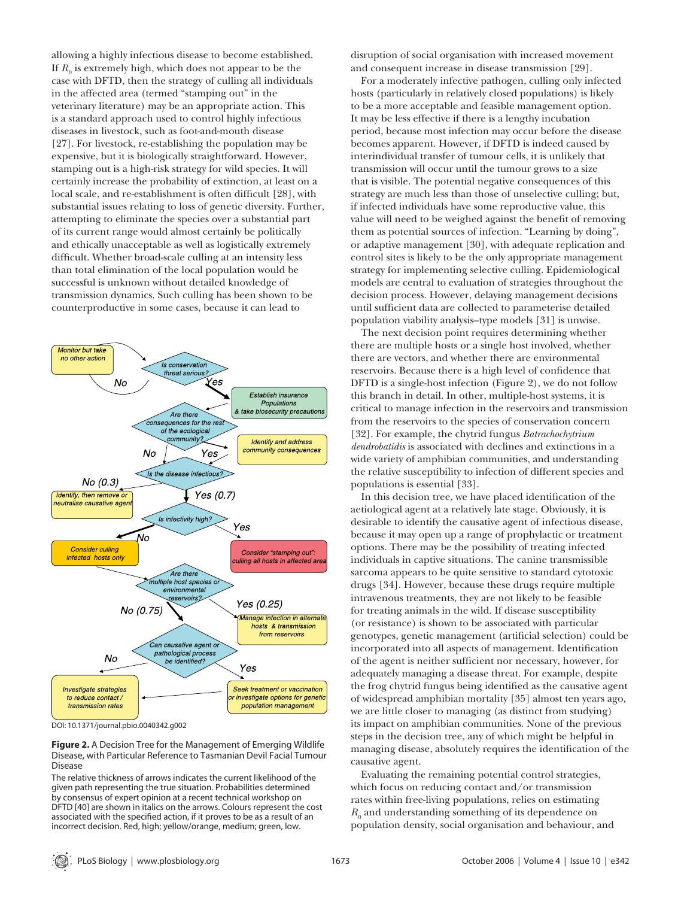allowing a highly infectious disease to become established. If  $R_0$  is extremely high, which does not appear to be the case with DFTD, then the strategy of culling all individuals in the affected area (termed "stamping out" in the veterinary literature) may be an appropriate action. This is a standard approach used to control highly infectious diseases in livestock, such as foot-and-mouth disease [27]. For livestock, re-establishing the population may be expensive, but it is biologically straightforward. However, stamping out is a high-risk strategy for wild species. It will certainly increase the probability of extinction, at least on a local scale, and re-establishment is often difficult [28], with substantial issues relating to loss of genetic diversity. Further, attempting to eliminate the species over a substantial part of its current range would almost certainly be politically and ethically unacceptable as well as logistically extremely difficult. Whether broad-scale culling at an intensity less than total elimination of the local population would be successful is unknown without detailed knowledge of transmission dynamics. Such culling has been shown to be counterproductive in some cases, because it can lead to



DOI: 10.1371/journal.pbio.0040342.g002

**Figure 2.** A Decision Tree for the Management of Emerging Wildlife Disease, with Particular Reference to Tasmanian Devil Facial Tumour Disease

The relative thickness of arrows indicates the current likelihood of the given path representing the true situation. Probabilities determined by consensus of expert opinion at a recent technical workshop on DFTD [40] are shown in italics on the arrows. Colours represent the cost associated with the specified action, if it proves to be as a result of an incorrect decision. Red, high; yellow/orange, medium; green, low.

disruption of social organisation with increased movement and consequent increase in disease transmission [29].

For a moderately infective pathogen, culling only infected hosts (particularly in relatively closed populations) is likely to be a more acceptable and feasible management option. It may be less effective if there is a lengthy incubation period, because most infection may occur before the disease becomes apparent. However, if DFTD is indeed caused by interindividual transfer of tumour cells, it is unlikely that transmission will occur until the tumour grows to a size that is visible. The potential negative consequences of this strategy are much less than those of unselective culling; but, if infected individuals have some reproductive value, this value will need to be weighed against the benefit of removing them as potential sources of infection. "Learning by doing", or adaptive management [30], with adequate replication and control sites is likely to be the only appropriate management strategy for implementing selective culling. Epidemiological models are central to evaluation of strategies throughout the decision process. However, delaying management decisions until sufficient data are collected to parameterise detailed population viability analysis–type models [31] is unwise.

The next decision point requires determining whether there are multiple hosts or a single host involved, whether there are vectors, and whether there are environmental reservoirs. Because there is a high level of confidence that DFTD is a single-host infection (Figure 2), we do not follow this branch in detail. In other, multiple-host systems, it is critical to manage infection in the reservoirs and transmission from the reservoirs to the species of conservation concern [32]. For example, the chytrid fungus *Batrachochytrium dendrobatidis* is associated with declines and extinctions in a wide variety of amphibian communities, and understanding the relative susceptibility to infection of different species and populations is essential [33].

In this decision tree, we have placed identification of the aetiological agent at a relatively late stage. Obviously, it is desirable to identify the causative agent of infectious disease, because it may open up a range of prophylactic or treatment options. There may be the possibility of treating infected individuals in captive situations. The canine transmissible sarcoma appears to be quite sensitive to standard cytotoxic drugs [34]. However, because these drugs require multiple intravenous treatments, they are not likely to be feasible for treating animals in the wild. If disease susceptibility (or resistance) is shown to be associated with particular genotypes, genetic management (artificial selection) could be incorporated into all aspects of management. Identification of the agent is neither sufficient nor necessary, however, for adequately managing a disease threat. For example, despite the frog chytrid fungus being identified as the causative agent of widespread amphibian mortality [35] almost ten years ago, we are little closer to managing (as distinct from studying) its impact on amphibian communities. None of the previous steps in the decision tree, any of which might be helpful in managing disease, absolutely requires the identification of the causative agent.

Evaluating the remaining potential control strategies, which focus on reducing contact and/or transmission rates within free-living populations, relies on estimating  $R_{0}$  and understanding something of its dependence on population density, social organisation and behaviour, and